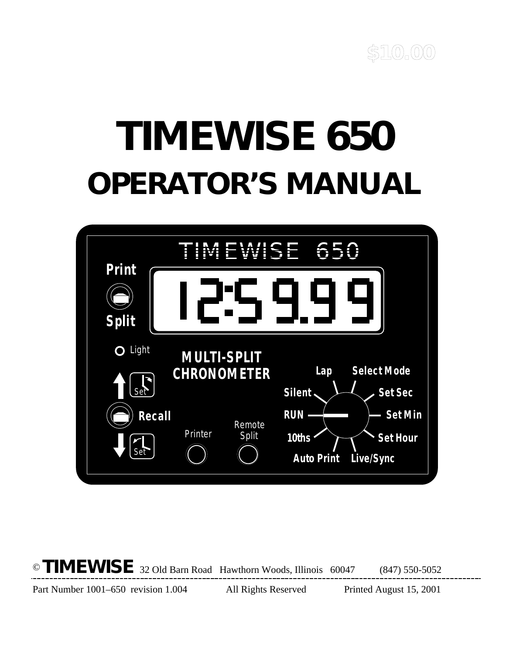

# **TIMEWISE 650 OPERATOR'S MANUAL**



© **TIMEWISE** 32 Old Barn Road Hawthorn Woods, Illinois 60047 (847) 550-5052

Part Number 1001–650 revision 1.004 All Rights Reserved Printed August 15, 2001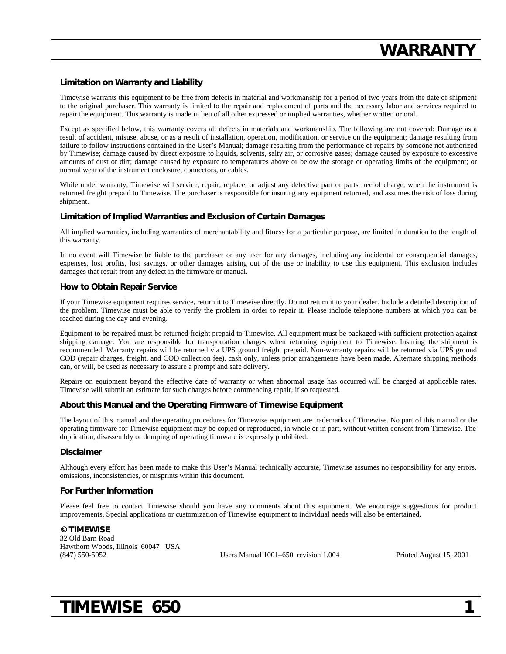#### **Limitation on Warranty and Liability**

Timewise warrants this equipment to be free from defects in material and workmanship for a period of two years from the date of shipment to the original purchaser. This warranty is limited to the repair and replacement of parts and the necessary labor and services required to repair the equipment. This warranty is made in lieu of all other expressed or implied warranties, whether written or oral.

Except as specified below, this warranty covers all defects in materials and workmanship. The following are not covered: Damage as a result of accident, misuse, abuse, or as a result of installation, operation, modification, or service on the equipment; damage resulting from failure to follow instructions contained in the User's Manual; damage resulting from the performance of repairs by someone not authorized by Timewise; damage caused by direct exposure to liquids, solvents, salty air, or corrosive gases; damage caused by exposure to excessive amounts of dust or dirt; damage caused by exposure to temperatures above or below the storage or operating limits of the equipment; or normal wear of the instrument enclosure, connectors, or cables.

While under warranty, Timewise will service, repair, replace, or adjust any defective part or parts free of charge, when the instrument is returned freight prepaid to Timewise. The purchaser is responsible for insuring any equipment returned, and assumes the risk of loss during shipment.

#### **Limitation of Implied Warranties and Exclusion of Certain Damages**

All implied warranties, including warranties of merchantability and fitness for a particular purpose, are limited in duration to the length of this warranty.

In no event will Timewise be liable to the purchaser or any user for any damages, including any incidental or consequential damages, expenses, lost profits, lost savings, or other damages arising out of the use or inability to use this equipment. This exclusion includes damages that result from any defect in the firmware or manual.

#### **How to Obtain Repair Service**

If your Timewise equipment requires service, return it to Timewise directly. Do not return it to your dealer. Include a detailed description of the problem. Timewise must be able to verify the problem in order to repair it. Please include telephone numbers at which you can be reached during the day and evening.

Equipment to be repaired must be returned freight prepaid to Timewise. All equipment must be packaged with sufficient protection against shipping damage. You are responsible for transportation charges when returning equipment to Timewise. Insuring the shipment is recommended. Warranty repairs will be returned via UPS ground freight prepaid. Non-warranty repairs will be returned via UPS ground COD (repair charges, freight, and COD collection fee), cash only, unless prior arrangements have been made. Alternate shipping methods can, or will, be used as necessary to assure a prompt and safe delivery.

Repairs on equipment beyond the effective date of warranty or when abnormal usage has occurred will be charged at applicable rates. Timewise will submit an estimate for such charges before commencing repair, if so requested.

#### **About this Manual and the Operating Firmware of Timewise Equipment**

The layout of this manual and the operating procedures for Timewise equipment are trademarks of Timewise. No part of this manual or the operating firmware for Timewise equipment may be copied or reproduced, in whole or in part, without written consent from Timewise. The duplication, disassembly or dumping of operating firmware is expressly prohibited.

#### **Disclaimer**

Although every effort has been made to make this User's Manual technically accurate, Timewise assumes no responsibility for any errors, omissions, inconsistencies, or misprints within this document.

#### **For Further Information**

Please feel free to contact Timewise should you have any comments about this equipment. We encourage suggestions for product improvements. Special applications or customization of Timewise equipment to individual needs will also be entertained.

#### **© TIMEWISE**

32 Old Barn Road Hawthorn Woods, Illinois 60047 USA (847) 550-5052 Users Manual 1001–650 revision 1.004 Printed August 15, 2001

### **TIMEWISE 650 1**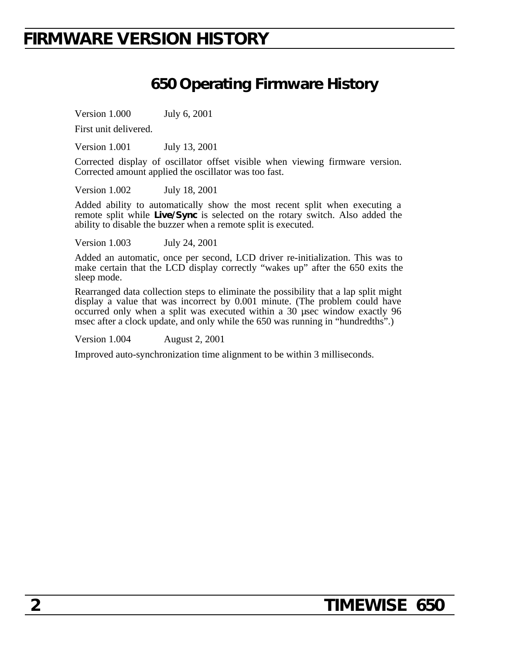### **FIRMWARE VERSION HISTORY**

### **650 Operating Firmware History**

Version 1.000 July 6, 2001

First unit delivered.

Version 1.001 July 13, 2001

Corrected display of oscillator offset visible when viewing firmware version. Corrected amount applied the oscillator was too fast.

Version 1.002 July 18, 2001

Added ability to automatically show the most recent split when executing a remote split while **Live/Sync** is selected on the rotary switch. Also added the ability to disable the buzzer when a remote split is executed.

Version 1.003 July 24, 2001

Added an automatic, once per second, LCD driver re-initialization. This was to make certain that the LCD display correctly "wakes up" after the 650 exits the sleep mode.

Rearranged data collection steps to eliminate the possibility that a lap split might display a value that was incorrect by 0.001 minute. (The problem could have occurred only when a split was executed within a 30 µsec window exactly 96 msec after a clock update, and only while the 650 was running in "hundredths".)

Version 1.004 August 2, 2001

Improved auto-synchronization time alignment to be within 3 milliseconds.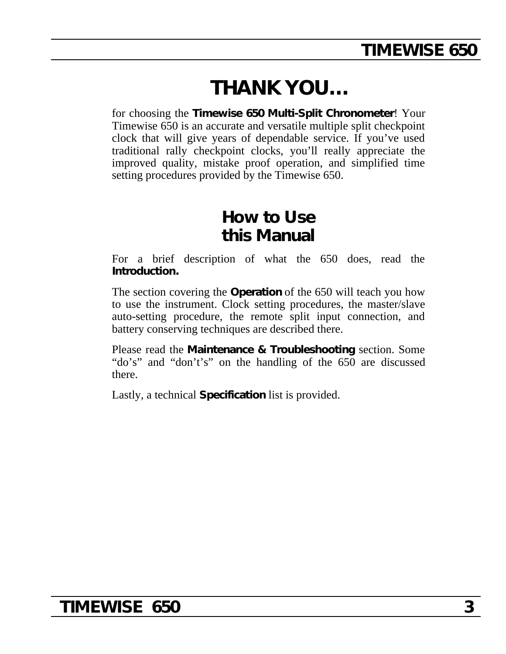# **THANK YOU…**

for choosing the **Timewise 650 Multi-Split Chronometer**! Your Timewise 650 is an accurate and versatile multiple split checkpoint clock that will give years of dependable service. If you've used traditional rally checkpoint clocks, you'll really appreciate the improved quality, mistake proof operation, and simplified time setting procedures provided by the Timewise 650.

### **How to Use this Manual**

For a brief description of what the 650 does, read the **Introduction.**

The section covering the **Operation** of the 650 will teach you how to use the instrument. Clock setting procedures, the master/slave auto-setting procedure, the remote split input connection, and battery conserving techniques are described there.

Please read the **Maintenance & Troubleshooting** section. Some "do's" and "don't's" on the handling of the 650 are discussed there.

Lastly, a technical **Specification** list is provided.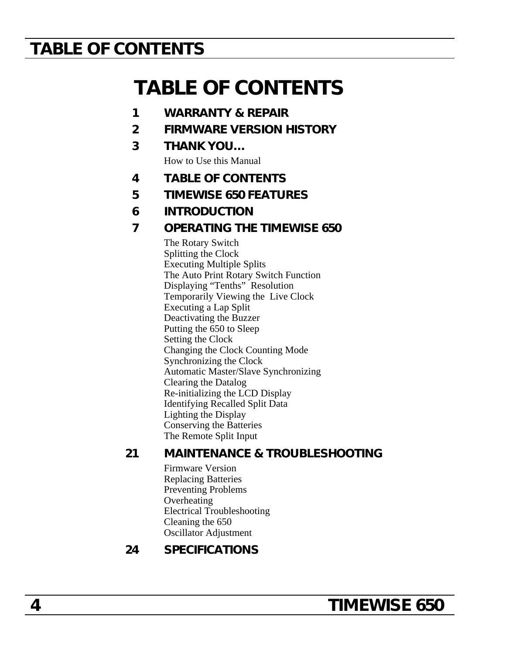# **TABLE OF CONTENTS**

# **TABLE OF CONTENTS**

- **1 WARRANTY & REPAIR**
- **2 FIRMWARE VERSION HISTORY**
- **3 THANK YOU…**

How to Use this Manual

- **4 TABLE OF CONTENTS**
- **5 TIMEWISE 650 FEATURES**
- **6 INTRODUCTION**
- **7 OPERATING THE TIMEWISE 650**

The Rotary Switch Splitting the Clock Executing Multiple Splits The Auto Print Rotary Switch Function Displaying "Tenths" Resolution Temporarily Viewing the Live Clock Executing a Lap Split Deactivating the Buzzer Putting the 650 to Sleep Setting the Clock Changing the Clock Counting Mode Synchronizing the Clock Automatic Master/Slave Synchronizing Clearing the Datalog Re-initializing the LCD Display Identifying Recalled Split Data Lighting the Display Conserving the Batteries The Remote Split Input

### **21 MAINTENANCE & TROUBLESHOOTING**

Firmware Version Replacing Batteries Preventing Problems **Overheating** Electrical Troubleshooting Cleaning the 650 Oscillator Adjustment

### **24 SPECIFICATIONS**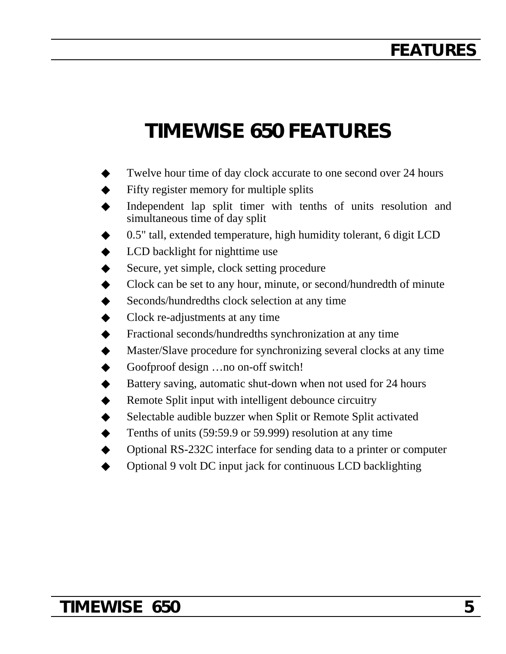# **FEATURES**

# **TIMEWISE 650 FEATURES**

- Twelve hour time of day clock accurate to one second over 24 hours
- Fifty register memory for multiple splits
- Independent lap split timer with tenths of units resolution and simultaneous time of day split
- 0.5" tall, extended temperature, high humidity tolerant, 6 digit LCD
- LCD backlight for nighttime use
- Secure, yet simple, clock setting procedure
- Clock can be set to any hour, minute, or second/hundredth of minute
- Seconds/hundredths clock selection at any time
- Clock re-adjustments at any time
- Fractional seconds/hundredths synchronization at any time
- Master/Slave procedure for synchronizing several clocks at any time
- Goofproof design ... no on-off switch!
- Battery saving, automatic shut-down when not used for 24 hours
- Remote Split input with intelligent debounce circuitry
- Selectable audible buzzer when Split or Remote Split activated
- Tenths of units (59:59.9 or 59.999) resolution at any time
- ◆ Optional RS-232C interface for sending data to a printer or computer
- Optional 9 volt DC input jack for continuous LCD backlighting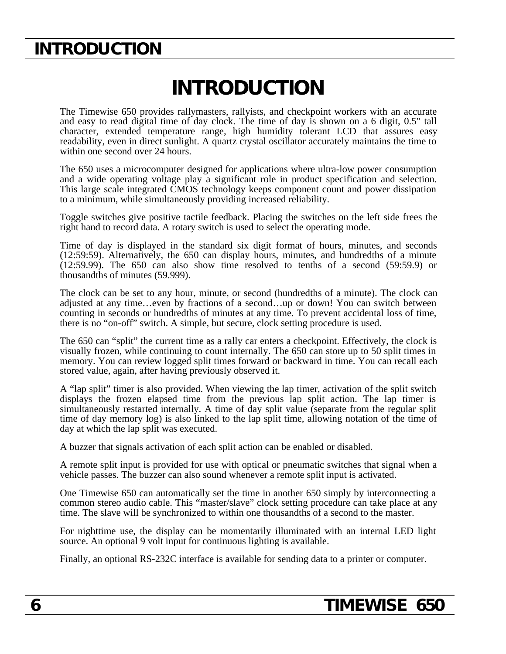# **INTRODUCTION**

# **INTRODUCTION**

The Timewise 650 provides rallymasters, rallyists, and checkpoint workers with an accurate and easy to read digital time of day clock. The time of day is shown on a 6 digit, 0.5" tall character, extended temperature range, high humidity tolerant LCD that assures easy readability, even in direct sunlight. A quartz crystal oscillator accurately maintains the time to within one second over 24 hours.

The 650 uses a microcomputer designed for applications where ultra-low power consumption and a wide operating voltage play a significant role in product specification and selection. This large scale integrated CMOS technology keeps component count and power dissipation to a minimum, while simultaneously providing increased reliability.

Toggle switches give positive tactile feedback. Placing the switches on the left side frees the right hand to record data. A rotary switch is used to select the operating mode.

Time of day is displayed in the standard six digit format of hours, minutes, and seconds (12:59:59). Alternatively, the 650 can display hours, minutes, and hundredths of a minute (12:59.99). The 650 can also show time resolved to tenths of a second (59:59.9) or thousandths of minutes (59.999).

The clock can be set to any hour, minute, or second (hundredths of a minute). The clock can adjusted at any time…even by fractions of a second…up or down! You can switch between counting in seconds or hundredths of minutes at any time. To prevent accidental loss of time, there is no "on-off" switch. A simple, but secure, clock setting procedure is used.

The 650 can "split" the current time as a rally car enters a checkpoint. Effectively, the clock is visually frozen, while continuing to count internally. The 650 can store up to 50 split times in memory. You can review logged split times forward or backward in time. You can recall each stored value, again, after having previously observed it.

A "lap split" timer is also provided. When viewing the lap timer, activation of the split switch displays the frozen elapsed time from the previous lap split action. The lap timer is simultaneously restarted internally. A time of day split value (separate from the regular split time of day memory log) is also linked to the lap split time, allowing notation of the time of day at which the lap split was executed.

A buzzer that signals activation of each split action can be enabled or disabled.

A remote split input is provided for use with optical or pneumatic switches that signal when a vehicle passes. The buzzer can also sound whenever a remote split input is activated.

One Timewise 650 can automatically set the time in another 650 simply by interconnecting a common stereo audio cable. This "master/slave" clock setting procedure can take place at any time. The slave will be synchronized to within one thousandths of a second to the master.

For nighttime use, the display can be momentarily illuminated with an internal LED light source. An optional 9 volt input for continuous lighting is available.

Finally, an optional RS-232C interface is available for sending data to a printer or computer.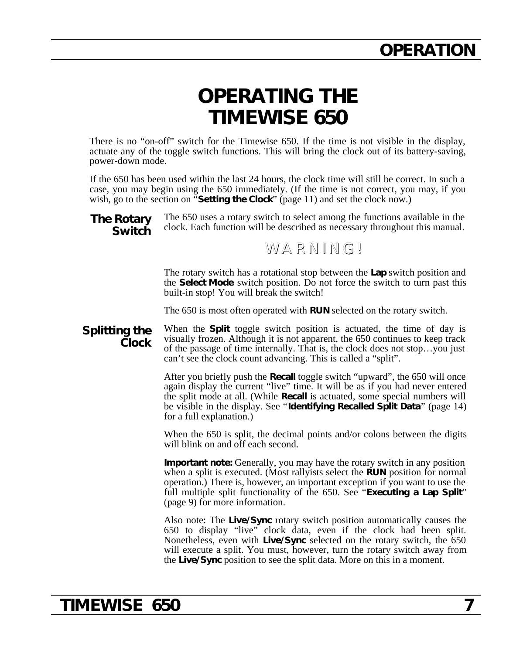# **OPERATING THE TIMEWISE 650**

There is no "on-off" switch for the Timewise 650. If the time is not visible in the display, actuate any of the toggle switch functions. This will bring the clock out of its battery-saving, power-down mode.

If the 650 has been used within the last 24 hours, the clock time will still be correct. In such a case, you may begin using the 650 immediately. (If the time is not correct, you may, if you wish, go to the section on "**Setting the Clock**" (page 11) and set the clock now.)

**The Rotary Switch** The 650 uses a rotary switch to select among the functions available in the clock. Each function will be described as necessary throughout this manual.

### WARNING!

The rotary switch has a rotational stop between the **Lap** switch position and the **Select Mode** switch position. Do not force the switch to turn past this built-in stop! You will break the switch!

The 650 is most often operated with **RUN** selected on the rotary switch.

**Splitting the Clock** When the **Split** toggle switch position is actuated, the time of day is visually frozen. Although it is not apparent, the 650 continues to keep track of the passage of time internally. That is, the clock does not stop…you just can't see the clock count advancing. This is called a "split".

> After you briefly push the **Recall** toggle switch "upward", the 650 will once again display the current "live" time. It will be as if you had never entered the split mode at all. (While **Recall** is actuated, some special numbers will be visible in the display. See "**Identifying Recalled Split Data**" (page 14) for a full explanation.)

> When the 650 is split, the decimal points and/or colons between the digits will blink on and off each second.

> **Important note:** Generally, you may have the rotary switch in any position when a split is executed. (Most rallyists select the **RUN** position for normal operation.) There is, however, an important exception if you want to use the full multiple split functionality of the 650. See "**Executing a Lap Split**" (page 9) for more information.

> Also note: The **Live/Sync** rotary switch position automatically causes the 650 to display "live" clock data, even if the clock had been split. Nonetheless, even with **Live/Sync** selected on the rotary switch, the 650 will execute a split. You must, however, turn the rotary switch away from the **Live/Sync** position to see the split data. More on this in a moment.

### **TIMEWISE 650 7**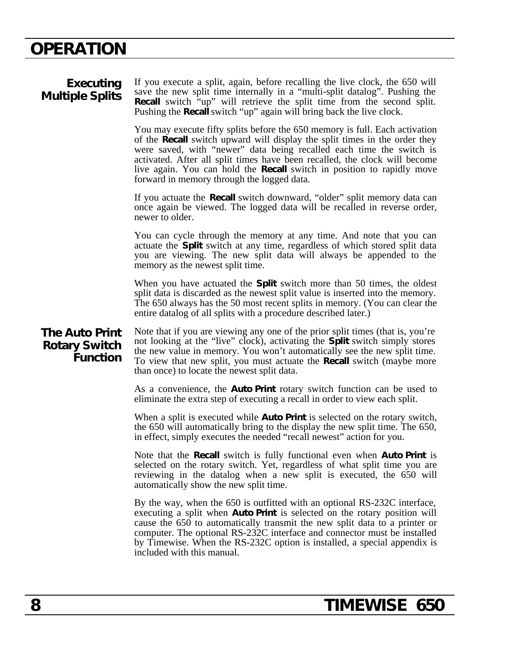| Executing<br><b>Multiple Splits</b>                              | If you execute a split, again, before recalling the live clock, the 650 will<br>save the new split time internally in a "multi-split datalog". Pushing the<br>Recall switch "up" will retrieve the split time from the second split.<br>Pushing the <b>Recall</b> switch "up" again will bring back the live clock.                                                                                                                            |
|------------------------------------------------------------------|------------------------------------------------------------------------------------------------------------------------------------------------------------------------------------------------------------------------------------------------------------------------------------------------------------------------------------------------------------------------------------------------------------------------------------------------|
|                                                                  | You may execute fifty splits before the 650 memory is full. Each activation<br>of the Recall switch upward will display the split times in the order they<br>were saved, with "newer" data being recalled each time the switch is<br>activated. After all split times have been recalled, the clock will become<br>live again. You can hold the <b>Recall</b> switch in position to rapidly move<br>forward in memory through the logged data. |
|                                                                  | If you actuate the <b>Recall</b> switch downward, "older" split memory data can<br>once again be viewed. The logged data will be recalled in reverse order,<br>newer to older.                                                                                                                                                                                                                                                                 |
|                                                                  | You can cycle through the memory at any time. And note that you can<br>actuate the Split switch at any time, regardless of which stored split data<br>you are viewing. The new split data will always be appended to the<br>memory as the newest split time.                                                                                                                                                                                   |
|                                                                  | When you have actuated the Split switch more than 50 times, the oldest<br>split data is discarded as the newest split value is inserted into the memory.<br>The 650 always has the 50 most recent splits in memory. (You can clear the<br>entire datalog of all splits with a procedure described later.)                                                                                                                                      |
| <b>The Auto Print</b><br><b>Rotary Switch</b><br><b>Function</b> | Note that if you are viewing any one of the prior split times (that is, you're<br>not looking at the "live" clock), activating the <b>Split</b> switch simply stores<br>the new value in memory. You won't automatically see the new split time.<br>To view that new split, you must actuate the <b>Recall</b> switch (maybe more<br>than once) to locate the newest split data.                                                               |
|                                                                  | As a convenience, the <b>Auto Print</b> rotary switch function can be used to<br>eliminate the extra step of executing a recall in order to view each split.                                                                                                                                                                                                                                                                                   |
|                                                                  | When a split is executed while <b>Auto Print</b> is selected on the rotary switch,<br>the 650 will automatically bring to the display the new split time. The 650,<br>in effect, simply executes the needed "recall newest" action for you.                                                                                                                                                                                                    |
|                                                                  | Note that the Recall switch is fully functional even when Auto Print is<br>selected on the rotary switch. Yet, regardless of what split time you are<br>reviewing in the datalog when a new split is executed, the 650 will<br>automatically show the new split time.                                                                                                                                                                          |
|                                                                  | By the way, when the 650 is outfitted with an optional RS-232C interface,<br>executing a split when Auto Print is selected on the rotary position will<br>cause the 650 to automatically transmit the new split data to a printer or<br>computer. The optional RS-232C interface and connector must be installed<br>by Timewise. When the RS-232C option is installed, a special appendix is<br>included with this manual.                     |
|                                                                  |                                                                                                                                                                                                                                                                                                                                                                                                                                                |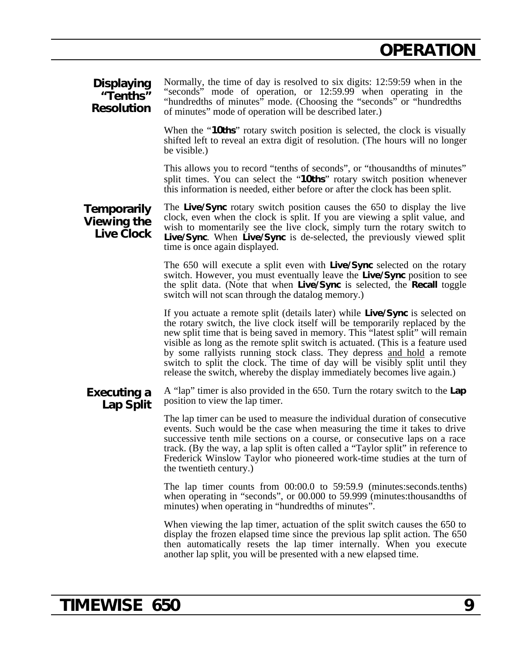#### **Displaying "Tenths" Resolution** Normally, the time of day is resolved to six digits: 12:59:59 when in the "seconds" mode of operation, or 12:59.99 when operating in the "hundredths of minutes" mode. (Choosing the "seconds" or "hundredths of minutes" mode of operation will be described later.)

When the "**10ths**" rotary switch position is selected, the clock is visually shifted left to reveal an extra digit of resolution. (The hours will no longer be visible.)

This allows you to record "tenths of seconds", or "thousandths of minutes" split times. You can select the "**10ths**" rotary switch position whenever this information is needed, either before or after the clock has been split.

#### **Temporarily Viewing the Live Clock** The **Live/Sync** rotary switch position causes the 650 to display the live clock, even when the clock is split. If you are viewing a split value, and wish to momentarily see the live clock, simply turn the rotary switch to **Live/Sync**. When **Live/Sync** is de-selected, the previously viewed split time is once again displayed.

The 650 will execute a split even with **Live/Sync** selected on the rotary switch. However, you must eventually leave the **Live/Sync** position to see the split data. (Note that when **Live/Sync** is selected, the **Recall** toggle switch will not scan through the datalog memory.)

If you actuate a remote split (details later) while **Live/Sync** is selected on the rotary switch, the live clock itself will be temporarily replaced by the new split time that is being saved in memory. This "latest split" will remain visible as long as the remote split switch is actuated. (This is a feature used by some rallyists running stock class. They depress and hold a remote switch to split the clock. The time of day will be visibly split until they release the switch, whereby the display immediately becomes live again.)

#### **Executing a Lap Split** A "lap" timer is also provided in the 650. Turn the rotary switch to the **Lap** position to view the lap timer.

The lap timer can be used to measure the individual duration of consecutive events. Such would be the case when measuring the time it takes to drive successive tenth mile sections on a course, or consecutive laps on a race track. (By the way, a lap split is often called a "Taylor split" in reference to Frederick Winslow Taylor who pioneered work-time studies at the turn of the twentieth century.)

The lap timer counts from 00:00.0 to 59:59.9 (minutes:seconds.tenths) when operating in "seconds", or 00.000 to 59.999 (minutes:thousandths of minutes) when operating in "hundredths of minutes".

When viewing the lap timer, actuation of the split switch causes the 650 to display the frozen elapsed time since the previous lap split action. The 650 then automatically resets the lap timer internally. When you execute another lap split, you will be presented with a new elapsed time.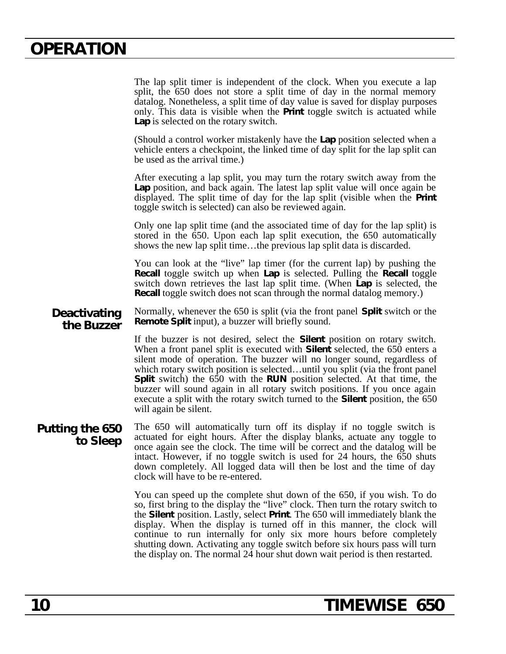The lap split timer is independent of the clock. When you execute a lap split, the 650 does not store a split time of day in the normal memory datalog. Nonetheless, a split time of day value is saved for display purposes only. This data is visible when the **Print** toggle switch is actuated while **Lap** is selected on the rotary switch.

(Should a control worker mistakenly have the **Lap** position selected when a vehicle enters a checkpoint, the linked time of day split for the lap split can be used as the arrival time.)

After executing a lap split, you may turn the rotary switch away from the **Lap** position, and back again. The latest lap split value will once again be displayed. The split time of day for the lap split (visible when the **Print** toggle switch is selected) can also be reviewed again.

Only one lap split time (and the associated time of day for the lap split) is stored in the 650. Upon each lap split execution, the 650 automatically shows the new lap split time…the previous lap split data is discarded.

You can look at the "live" lap timer (for the current lap) by pushing the **Recall** toggle switch up when **Lap** is selected. Pulling the **Recall** toggle switch down retrieves the last lap split time. (When **Lap** is selected, the **Recall** toggle switch does not scan through the normal datalog memory.)

**Deactivating the Buzzer** Normally, whenever the 650 is split (via the front panel **Split** switch or the **Remote Split** input), a buzzer will briefly sound.

> If the buzzer is not desired, select the **Silent** position on rotary switch. When a front panel split is executed with **Silent** selected, the 650 enters a silent mode of operation. The buzzer will no longer sound, regardless of which rotary switch position is selected…until you split (via the front panel **Split** switch) the 650 with the **RUN** position selected. At that time, the buzzer will sound again in all rotary switch positions. If you once again execute a split with the rotary switch turned to the **Silent** position, the 650 will again be silent.

**Putting the 650 to Sleep** The 650 will automatically turn off its display if no toggle switch is actuated for eight hours. After the display blanks, actuate any toggle to once again see the clock. The time will be correct and the datalog will be intact. However, if no toggle switch is used for 24 hours, the 650 shuts down completely. All logged data will then be lost and the time of day clock will have to be re-entered.

> You can speed up the complete shut down of the 650, if you wish. To do so, first bring to the display the "live" clock. Then turn the rotary switch to the **Silent** position. Lastly, select **Print**. The 650 will immediately blank the display. When the display is turned off in this manner, the clock will continue to run internally for only six more hours before completely shutting down. Activating any toggle switch before six hours pass will turn the display on. The normal 24 hour shut down wait period is then restarted.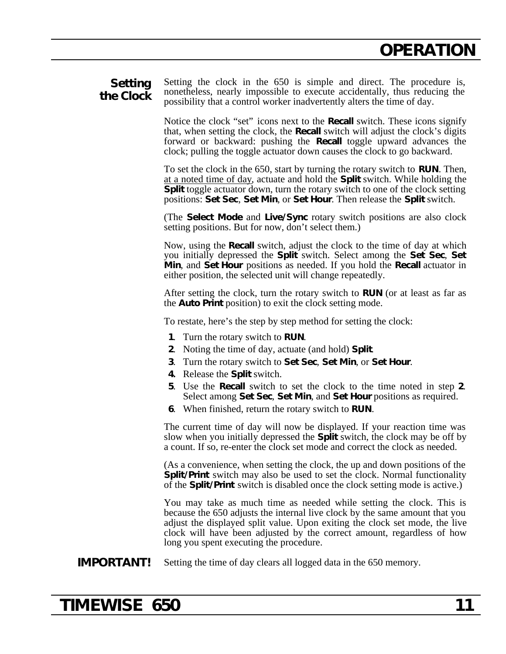### **Setting the Clock**

Setting the clock in the 650 is simple and direct. The procedure is, nonetheless, nearly impossible to execute accidentally, thus reducing the possibility that a control worker inadvertently alters the time of day.

Notice the clock "set" icons next to the **Recall** switch. These icons signify that, when setting the clock, the **Recall** switch will adjust the clock's digits forward or backward: pushing the **Recall** toggle upward advances the clock; pulling the toggle actuator down causes the clock to go backward.

To set the clock in the 650, start by turning the rotary switch to **RUN**. Then, at a noted time of day , actuate and hold the **Split** switch. While holding the **Split** toggle actuator down, turn the rotary switch to one of the clock setting positions: **Set Sec**, **Set Min**, or **Set Hour**. Then release the **Split** switch.

(The **Select Mode** and **Live/Sync** rotary switch positions are also clock setting positions. But for now, don't select them.)

Now, using the **Recall** switch, adjust the clock to the time of day at which you initially depressed the **Split** switch. Select among the **Set Sec**, **Set Min**, and **Set Hour** positions as needed. If you hold the **Recall** actuator in either position, the selected unit will change repeatedly.

After setting the clock, turn the rotary switch to **RUN** (or at least as far as the **Auto Print** position) to exit the clock setting mode.

To restate, here's the step by step method for setting the clock:

- **1**. Turn the rotary switch to **RUN**.
- **2**. Noting the time of day, actuate (and hold) **Split**.
- **3**. Turn the rotary switch to **Set Sec**, **Set Min**, or **Set Hour**.
- **4.** Release the **Split** switch.
- **5**. Use the **Recall** switch to set the clock to the time noted in step **2**. Select among **Set Sec**, **Set Min**, and **Set Hour** positions as required.
- **6**. When finished, return the rotary switch to **RUN**.

The current time of day will now be displayed. If your reaction time was slow when you initially depressed the **Split** switch, the clock may be off by a count. If so, re-enter the clock set mode and correct the clock as needed.

(As a convenience, when setting the clock, the up and down positions of the **Split/Print** switch may also be used to set the clock. Normal functionality of the **Split/Print** switch is disabled once the clock setting mode is active.)

You may take as much time as needed while setting the clock. This is because the 650 adjusts the internal live clock by the same amount that you adjust the displayed split value. Upon exiting the clock set mode, the live clock will have been adjusted by the correct amount, regardless of how long you spent executing the procedure.

### **IMPORTANT!** Setting the time of day clears all logged data in the 650 memory.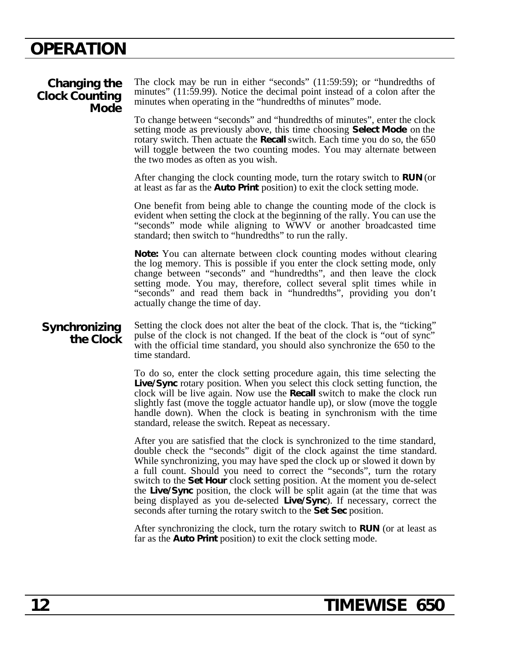### **Changing the Clock Counting Mode**

The clock may be run in either "seconds" (11:59:59); or "hundredths of minutes" (11:59.99). Notice the decimal point instead of a colon after the minutes when operating in the "hundredths of minutes" mode.

To change between "seconds" and "hundredths of minutes", enter the clock setting mode as previously above, this time choosing **Select Mode** on the rotary switch. Then actuate the **Recall** switch. Each time you do so, the 650 will toggle between the two counting modes. You may alternate between the two modes as often as you wish.

After changing the clock counting mode, turn the rotary switch to **RUN** (or at least as far as the **Auto Print** position) to exit the clock setting mode.

One benefit from being able to change the counting mode of the clock is evident when setting the clock at the beginning of the rally. You can use the "seconds" mode while aligning to WWV or another broadcasted time standard; then switch to "hundredths" to run the rally.

**Note:** You can alternate between clock counting modes without clearing the log memory. This is possible if you enter the clock setting mode, only change between "seconds" and "hundredths", and then leave the clock setting mode. You may, therefore, collect several split times while in "seconds" and read them back in "hundredths", providing you don't actually change the time of day.

### **Synchronizing the Clock**

Setting the clock does not alter the beat of the clock. That is, the "ticking" pulse of the clock is not changed. If the beat of the clock is "out of sync" with the official time standard, you should also synchronize the 650 to the time standard.

To do so, enter the clock setting procedure again, this time selecting the **Live/Sync** rotary position. When you select this clock setting function, the clock will be live again. Now use the **Recall** switch to make the clock run slightly fast (move the toggle actuator handle up), or slow (move the toggle handle down). When the clock is beating in synchronism with the time standard, release the switch. Repeat as necessary.

After you are satisfied that the clock is synchronized to the time standard, double check the "seconds" digit of the clock against the time standard. While synchronizing, you may have sped the clock up or slowed it down by a full count. Should you need to correct the "seconds", turn the rotary switch to the **Set Hour** clock setting position. At the moment you de-select the **Live/Sync** position, the clock will be split again (at the time that was being displayed as you de-selected **Live/Sync**). If necessary, correct the seconds after turning the rotary switch to the **Set Sec** position.

After synchronizing the clock, turn the rotary switch to **RUN** (or at least as far as the **Auto Print** position) to exit the clock setting mode.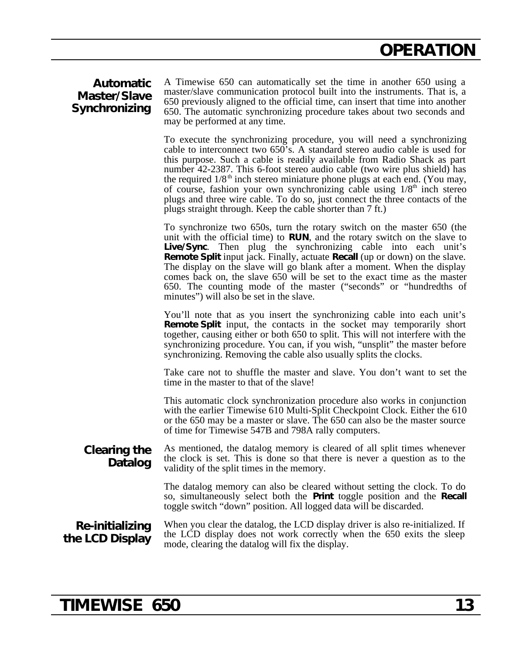### **Automatic Master/Slave Synchronizing**

A Timewise 650 can automatically set the time in another 650 using a master/slave communication protocol built into the instruments. That is, a 650 previously aligned to the official time, can insert that time into another 650. The automatic synchronizing procedure takes about two seconds and may be performed at any time.

To execute the synchronizing procedure, you will need a synchronizing cable to interconnect two 650's. A standard stereo audio cable is used for this purpose. Such a cable is readily available from Radio Shack as part number 42-2387. This 6-foot stereo audio cable (two wire plus shield) has the required  $1/8<sup>th</sup>$  inch stereo miniature phone plugs at each end. (You may, of course, fashion your own synchronizing cable using  $1/8<sup>th</sup>$  inch stereo plugs and three wire cable. To do so, just connect the three contacts of the plugs straight through. Keep the cable shorter than 7 ft.)

To synchronize two 650s, turn the rotary switch on the master 650 (the unit with the official time) to **RUN**, and the rotary switch on the slave to **Live/Sync**. Then plug the synchronizing cable into each unit's **Remote Split** input jack. Finally, actuate **Recall** (up or down) on the slave. The display on the slave will go blank after a moment. When the display comes back on, the slave 650 will be set to the exact time as the master 650. The counting mode of the master ("seconds" or "hundredths of minutes") will also be set in the slave.

You'll note that as you insert the synchronizing cable into each unit's **Remote Split** input, the contacts in the socket may temporarily short together, causing either or both 650 to split. This will not interfere with the synchronizing procedure. You can, if you wish, "unsplit" the master before synchronizing. Removing the cable also usually splits the clocks.

Take care not to shuffle the master and slave. You don't want to set the time in the master to that of the slave!

This automatic clock synchronization procedure also works in conjunction with the earlier Timewise 610 Multi-Split Checkpoint Clock. Either the 610 or the 650 may be a master or slave. The 650 can also be the master source of time for Timewise 547B and 798A rally computers.

#### **Clearing the Datalog** As mentioned, the datalog memory is cleared of all split times whenever the clock is set. This is done so that there is never a question as to the validity of the split times in the memory.

The datalog memory can also be cleared without setting the clock. To do so, simultaneously select both the **Print** toggle position and the **Recall** toggle switch "down" position. All logged data will be discarded.

### **Re-initializing the LCD Display**

When you clear the datalog, the LCD display driver is also re-initialized. If the LCD display does not work correctly when the 650 exits the sleep mode, clearing the datalog will fix the display.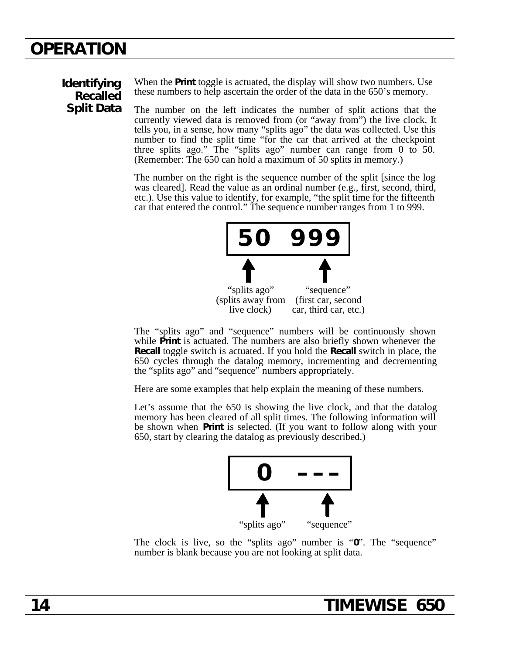### **Identifying Recalled Split Data**

When the **Print** toggle is actuated, the display will show two numbers. Use these numbers to help ascertain the order of the data in the 650's memory.

The number on the left indicates the number of split actions that the currently viewed data is removed from (or "away from") the live clock. It tells you, in a sense, how many "splits ago" the data was collected. Use this number to find the split time "for the car that arrived at the checkpoint three splits ago." The "splits ago" number can range from 0 to 50. (Remember: The 650 can hold a maximum of 50 splits in memory.)

The number on the right is the sequence number of the split [since the log was cleared]. Read the value as an ordinal number (e.g., first, second, third, etc.). Use this value to identify, for example, "the split time for the fifteenth car that entered the control." The sequence number ranges from 1 to 999.



The "splits ago" and "sequence" numbers will be continuously shown while **Print** is actuated. The numbers are also briefly shown whenever the **Recall** toggle switch is actuated. If you hold the **Recall** switch in place, the 650 cycles through the datalog memory, incrementing and decrementing the "splits ago" and "sequence" numbers appropriately.

Here are some examples that help explain the meaning of these numbers.

Let's assume that the 650 is showing the live clock, and that the datalog memory has been cleared of all split times. The following information will be shown when **Print** is selected. (If you want to follow along with your 650, start by clearing the datalog as previously described.)



The clock is live, so the "splits ago" number is "**0**". The "sequence" number is blank because you are not looking at split data.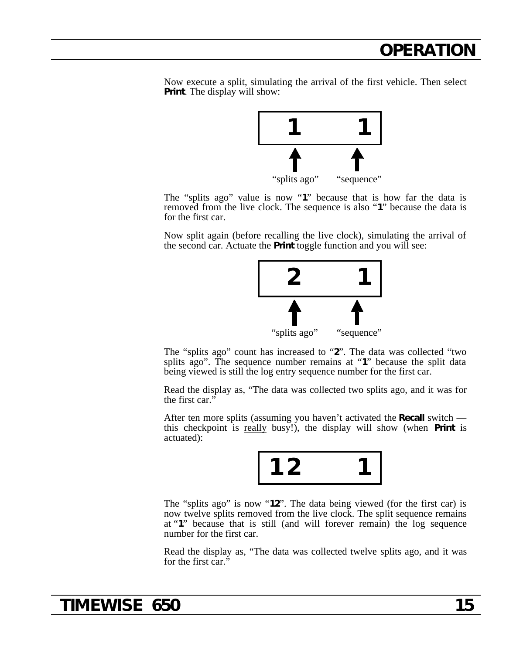Now execute a split, simulating the arrival of the first vehicle. Then select **Print**. The display will show:



The "splits ago" value is now "**1**" because that is how far the data is removed from the live clock. The sequence is also "**1**" because the data is for the first car.

Now split again (before recalling the live clock), simulating the arrival of the second car. Actuate the **Print** toggle function and you will see:



The "splits ago" count has increased to "**2**". The data was collected "two splits ago". The sequence number remains at "**1**" because the split data being viewed is still the log entry sequence number for the first car.

Read the display as, "The data was collected two splits ago, and it was for the first car."

After ten more splits (assuming you haven't activated the **Recall** switch this checkpoint is really busy!), the display will show (when **Print** is actuated):



The "splits ago" is now "**12**". The data being viewed (for the first car) is now twelve splits removed from the live clock. The split sequence remains at "**1**" because that is still (and will forever remain) the log sequence number for the first car.

Read the display as, "The data was collected twelve splits ago, and it was for the first car."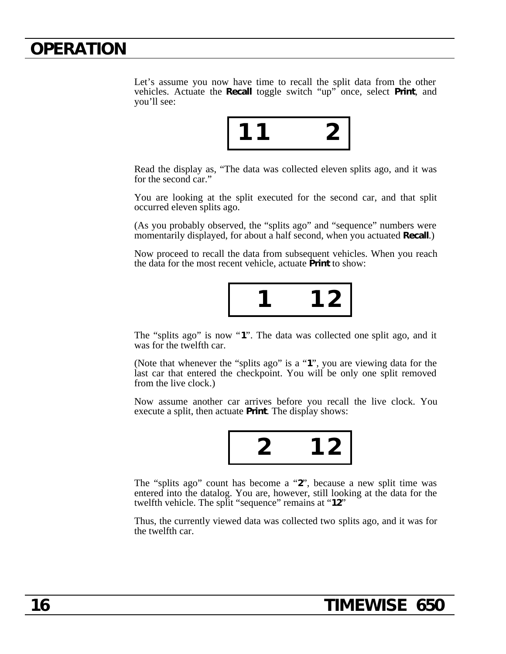Let's assume you now have time to recall the split data from the other vehicles. Actuate the **Recall** toggle switch "up" once, select **Print**, and you'll see:



Read the display as, "The data was collected eleven splits ago, and it was for the second car."

You are looking at the split executed for the second car, and that split occurred eleven splits ago.

(As you probably observed, the "splits ago" and "sequence" numbers were momentarily displayed, for about a half second, when you actuated **Recall**.)

Now proceed to recall the data from subsequent vehicles. When you reach the data for the most recent vehicle, actuate **Print** to show:



The "splits ago" is now "**1**". The data was collected one split ago, and it was for the twelfth car.

(Note that whenever the "splits ago" is a "**1**", you are viewing data for the last car that entered the checkpoint. You will be only one split removed from the live clock.)

Now assume another car arrives before you recall the live clock. You execute a split, then actuate **Print**. The display shows:



The "splits ago" count has become a "**2**", because a new split time was entered into the datalog. You are, however, still looking at the data for the twelfth vehicle. The split "sequence" remains at "**12**"

Thus, the currently viewed data was collected two splits ago, and it was for the twelfth car.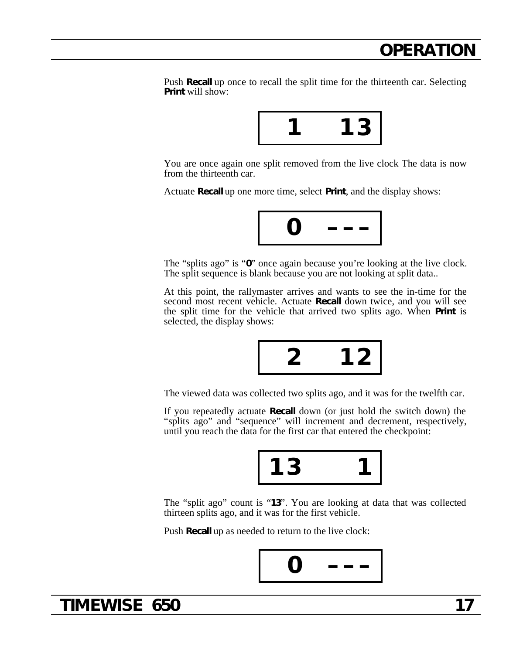Push **Recall** up once to recall the split time for the thirteenth car. Selecting **Print** will show:



You are once again one split removed from the live clock The data is now from the thirteenth car.

Actuate **Recall** up one more time, select **Print**, and the display shows:



The "splits ago" is "**0**" once again because you're looking at the live clock. The split sequence is blank because you are not looking at split data..

At this point, the rallymaster arrives and wants to see the in-time for the second most recent vehicle. Actuate **Recall** down twice, and you will see the split time for the vehicle that arrived two splits ago. When **Print** is selected, the display shows:



The viewed data was collected two splits ago, and it was for the twelfth car.

If you repeatedly actuate **Recall** down (or just hold the switch down) the "splits ago" and "sequence" will increment and decrement, respectively, until you reach the data for the first car that entered the checkpoint:



The "split ago" count is "**13**". You are looking at data that was collected thirteen splits ago, and it was for the first vehicle.

Push **Recall** up as needed to return to the live clock:



### **TIMEWISE 650 17**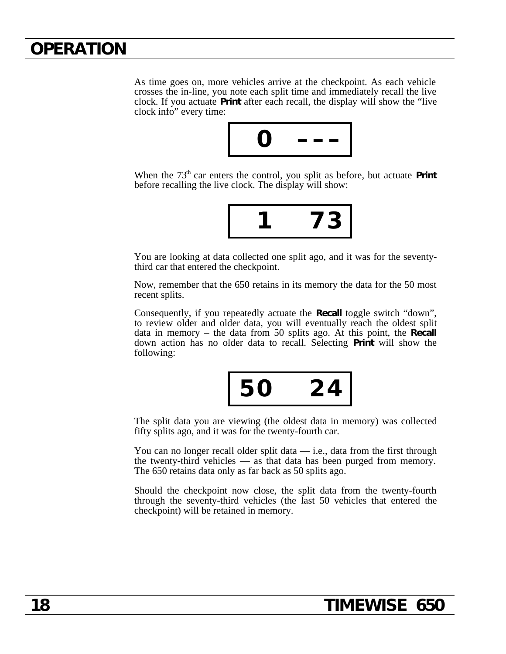As time goes on, more vehicles arrive at the checkpoint. As each vehicle crosses the in-line, you note each split time and immediately recall the live clock. If you actuate **Print** after each recall, the display will show the "live clock info" every time:



When the 73<sup>th</sup> car enters the control, you split as before, but actuate **Print** before recalling the live clock. The display will show:

$$
\boxed{1\quad 73}
$$

You are looking at data collected one split ago, and it was for the seventythird car that entered the checkpoint.

Now, remember that the 650 retains in its memory the data for the 50 most recent splits.

Consequently, if you repeatedly actuate the **Recall** toggle switch "down", to review older and older data, you will eventually reach the oldest split data in memory – the data from 50 splits ago. At this point, the **Recall** down action has no older data to recall. Selecting **Print** will show the following:

$$
\boxed{50 \quad 24}
$$

The split data you are viewing (the oldest data in memory) was collected fifty splits ago, and it was for the twenty-fourth car.

You can no longer recall older split data  $-$  i.e., data from the first through the twenty-third vehicles — as that data has been purged from memory. The 650 retains data only as far back as 50 splits ago.

Should the checkpoint now close, the split data from the twenty-fourth through the seventy-third vehicles (the last 50 vehicles that entered the checkpoint) will be retained in memory.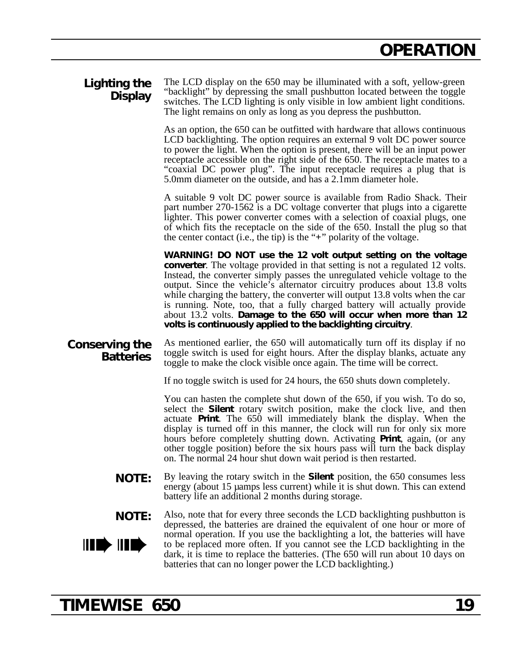| Lighting the<br><b>Display</b>      | The LCD display on the 650 may be illuminated with a soft, yellow-green<br>"backlight" by depressing the small pushbutton located between the toggle<br>switches. The LCD lighting is only visible in low ambient light conditions.<br>The light remains on only as long as you depress the pushbutton.                                                                                                                                                                                                                                                                                                             |  |
|-------------------------------------|---------------------------------------------------------------------------------------------------------------------------------------------------------------------------------------------------------------------------------------------------------------------------------------------------------------------------------------------------------------------------------------------------------------------------------------------------------------------------------------------------------------------------------------------------------------------------------------------------------------------|--|
|                                     | As an option, the 650 can be outfitted with hardware that allows continuous<br>LCD backlighting. The option requires an external 9 volt DC power source<br>to power the light. When the option is present, there will be an input power<br>receptacle accessible on the right side of the 650. The receptacle mates to a<br>"coaxial DC power plug". The input receptacle requires a plug that is<br>5.0mm diameter on the outside, and has a 2.1mm diameter hole.                                                                                                                                                  |  |
|                                     | A suitable 9 volt DC power source is available from Radio Shack. Their<br>part number 270-1562 is a DC voltage converter that plugs into a cigarette<br>lighter. This power converter comes with a selection of coaxial plugs, one<br>of which fits the receptacle on the side of the 650. Install the plug so that<br>the center contact (i.e., the tip) is the " $+$ " polarity of the voltage.                                                                                                                                                                                                                   |  |
|                                     | WARNING! DO NOT use the 12 volt output setting on the voltage<br><b>converter.</b> The voltage provided in that setting is not a regulated 12 volts.<br>Instead, the converter simply passes the unregulated vehicle voltage to the<br>output. Since the vehicle's alternator circuitry produces about 13.8 volts<br>while charging the battery, the converter will output 13.8 volts when the car<br>is running. Note, too, that a fully charged battery will actually provide<br>about 13.2 volts. Damage to the 650 will occur when more than 12<br>volts is continuously applied to the backlighting circuitry. |  |
| Conserving the<br><b>Batteries</b>  | As mentioned earlier, the 650 will automatically turn off its display if no<br>toggle switch is used for eight hours. After the display blanks, actuate any<br>toggle to make the clock visible once again. The time will be correct.                                                                                                                                                                                                                                                                                                                                                                               |  |
|                                     | If no toggle switch is used for 24 hours, the 650 shuts down completely.                                                                                                                                                                                                                                                                                                                                                                                                                                                                                                                                            |  |
|                                     | You can hasten the complete shut down of the 650, if you wish. To do so,<br>select the Silent rotary switch position, make the clock live, and then<br>actuate Print. The 650 will immediately blank the display. When the<br>display is turned off in this manner, the clock will run for only six more<br>hours before completely shutting down. Activating Print, again, (or any<br>other toggle position) before the six hours pass will turn the back display<br>on. The normal 24 hour shut down wait period is then restarted.                                                                               |  |
| <b>NOTE:</b>                        | By leaving the rotary switch in the <b>Silent</b> position, the 650 consumes less<br>energy (about 15 µ amps less current) while it is shut down. This can extend<br>battery life an additional 2 months during storage.                                                                                                                                                                                                                                                                                                                                                                                            |  |
| <b>NOTE:</b>                        | Also, note that for every three seconds the LCD backlighting pushbutton is<br>depressed, the batteries are drained the equivalent of one hour or more of                                                                                                                                                                                                                                                                                                                                                                                                                                                            |  |
| $\parallel$ IIII) $\parallel$ IIII) | normal operation. If you use the backlighting a lot, the batteries will have<br>to be replaced more often. If you cannot see the LCD backlighting in the<br>dark, it is time to replace the batteries. (The 650 will run about 10 days on<br>batteries that can no longer power the LCD backlighting.)                                                                                                                                                                                                                                                                                                              |  |

# **TIMEWISE 650 19**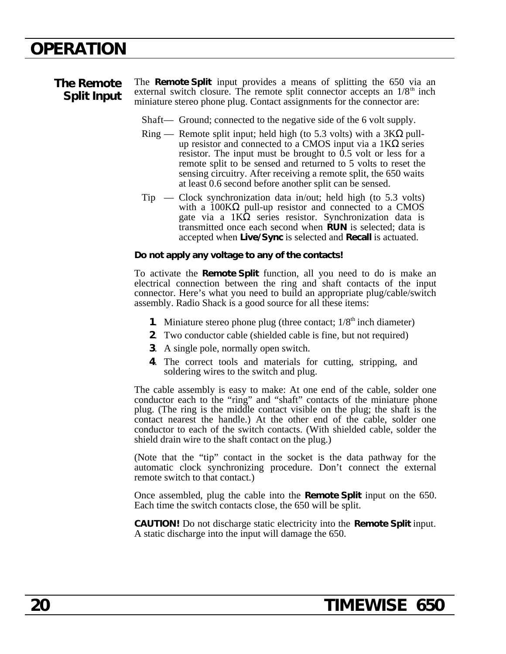#### **The Remote Split Input** The **Remote Split** input provides a means of splitting the 650 via an external switch closure. The remote split connector accepts an  $1/8<sup>th</sup>$  inch miniature stereo phone plug. Contact assignments for the connector are:

Shaft— Ground; connected to the negative side of the 6 volt supply.

- $Ring$  Remote split input; held high (to 5.3 volts) with a 3K pullup resistor and connected to a CMOS input via a 1K series resistor. The input must be brought to 0.5 volt or less for a remote split to be sensed and returned to 5 volts to reset the sensing circuitry. After receiving a remote split, the 650 waits at least 0.6 second before another split can be sensed.
- $Tip$  Clock synchronization data in/out; held high (to 5.3 volts) with a 100K pull-up resistor and connected to a CMOS gate via a 1K series resistor. Synchronization data is series resistor. Synchronization data is transmitted once each second when **RUN** is selected; data is accepted when **Live/Sync** is selected and **Recall** is actuated.

### **Do not apply any voltage to any of the contacts!**

To activate the **Remote Split** function, all you need to do is make an electrical connection between the ring and shaft contacts of the input connector. Here's what you need to build an appropriate plug/cable/switch assembly. Radio Shack is a good source for all these items:

- **1**. Miniature stereo phone plug (three contact;  $1/8<sup>th</sup>$  inch diameter)
- **2**. Two conductor cable (shielded cable is fine, but not required)
- **3**. A single pole, normally open switch.
- **4**. The correct tools and materials for cutting, stripping, and soldering wires to the switch and plug.

The cable assembly is easy to make: At one end of the cable, solder one conductor each to the "ring" and "shaft" contacts of the miniature phone plug. (The ring is the middle contact visible on the plug; the shaft is the contact nearest the handle.) At the other end of the cable, solder one conductor to each of the switch contacts. (With shielded cable, solder the shield drain wire to the shaft contact on the plug.)

(Note that the "tip" contact in the socket is the data pathway for the automatic clock synchronizing procedure. Don't connect the external remote switch to that contact.)

Once assembled, plug the cable into the **Remote Split** input on the 650. Each time the switch contacts close, the 650 will be split.

**CAUTION!** Do not discharge static electricity into the **Remote Split** input. A static discharge into the input will damage the 650.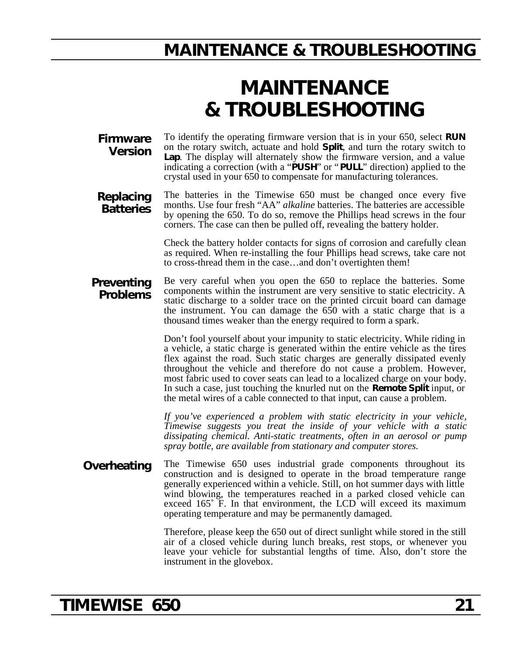### **MAINTENANCE & TROUBLESHOOTING**

# **MAINTENANCE & TROUBLESHOOTING**

**Firmware Version** To identify the operating firmware version that is in your 650, select **RUN** on the rotary switch, actuate and hold **Split**, and turn the rotary switch to **Lap**. The display will alternately show the firmware version, and a value indicating a correction (with a "**PUSH**" or "**PULL**" direction) applied to the crystal used in your 650 to compensate for manufacturing tolerances.

**Replacing Batteries** The batteries in the Timewise 650 must be changed once every five months. Use four fresh "AA" *alkaline* batteries. The batteries are accessible by opening the 650. To do so, remove the Phillips head screws in the four corners. The case can then be pulled off, revealing the battery holder.

> Check the battery holder contacts for signs of corrosion and carefully clean as required. When re-installing the four Phillips head screws, take care not to cross-thread them in the case…and don't overtighten them!

#### **Preventing Problems** Be very careful when you open the 650 to replace the batteries. Some components within the instrument are very sensitive to static electricity. A static discharge to a solder trace on the printed circuit board can damage the instrument. You can damage the 650 with a static charge that is a thousand times weaker than the energy required to form a spark.

Don't fool yourself about your impunity to static electricity. While riding in a vehicle, a static charge is generated within the entire vehicle as the tires flex against the road. Such static charges are generally dissipated evenly throughout the vehicle and therefore do not cause a problem. However, most fabric used to cover seats can lead to a localized charge on your body. In such a case, just touching the knurled nut on the **Remote Split** input, or the metal wires of a cable connected to that input, can cause a problem.

*If you've experienced a problem with static electricity in your vehicle, Timewise suggests you treat the inside of your vehicle with a static dissipating chemical. Anti-static treatments, often in an aerosol or pump spray bottle, are available from stationary and computer stores.*

**Overheating** The Timewise 650 uses industrial grade components throughout its construction and is designed to operate in the broad temperature range generally experienced within a vehicle. Still, on hot summer days with little wind blowing, the temperatures reached in a parked closed vehicle can exceed 165˚ F. In that environment, the LCD will exceed its maximum operating temperature and may be permanently damaged.

> Therefore, please keep the 650 out of direct sunlight while stored in the still air of a closed vehicle during lunch breaks, rest stops, or whenever you leave your vehicle for substantial lengths of time. Also, don't store the instrument in the glovebox.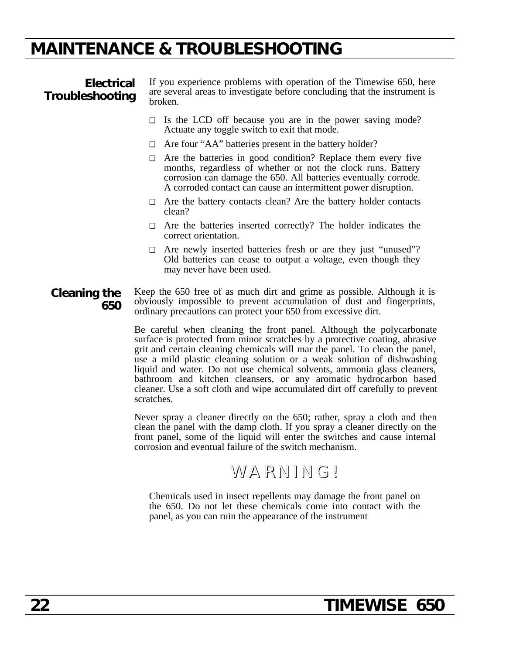### **MAINTENANCE & TROUBLESHOOTING**

**Electrical Troubleshooting**

If you experience problems with operation of the Timewise 650, here are several areas to investigate before concluding that the instrument is broken.

- ❏ Is the LCD off because you are in the power saving mode? Actuate any toggle switch to exit that mode.
- ❏ Are four "AA" batteries present in the battery holder?
- ❏ Are the batteries in good condition? Replace them every five months, regardless of whether or not the clock runs. Battery corrosion can damage the 650. All batteries eventually corrode. A corroded contact can cause an intermittent power disruption.
- ❏ Are the battery contacts clean? Are the battery holder contacts clean?
- ❏ Are the batteries inserted correctly? The holder indicates the correct orientation.
- ❏ Are newly inserted batteries fresh or are they just "unused"? Old batteries can cease to output a voltage, even though they may never have been used.
- **Cleaning the 650** Keep the 650 free of as much dirt and grime as possible. Although it is obviously impossible to prevent accumulation of dust and fingerprints, ordinary precautions can protect your 650 from excessive dirt.

Be careful when cleaning the front panel. Although the polycarbonate surface is protected from minor scratches by a protective coating, abrasive grit and certain cleaning chemicals will mar the panel. To clean the panel, use a mild plastic cleaning solution or a weak solution of dishwashing liquid and water. Do not use chemical solvents, ammonia glass cleaners, bathroom and kitchen cleansers, or any aromatic hydrocarbon based cleaner. Use a soft cloth and wipe accumulated dirt off carefully to prevent scratches.

Never spray a cleaner directly on the 650; rather, spray a cloth and then clean the panel with the damp cloth. If you spray a cleaner directly on the front panel, some of the liquid will enter the switches and cause internal corrosion and eventual failure of the switch mechanism.

### WARNING!

Chemicals used in insect repellents may damage the front panel on the 650. Do not let these chemicals come into contact with the panel, as you can ruin the appearance of the instrument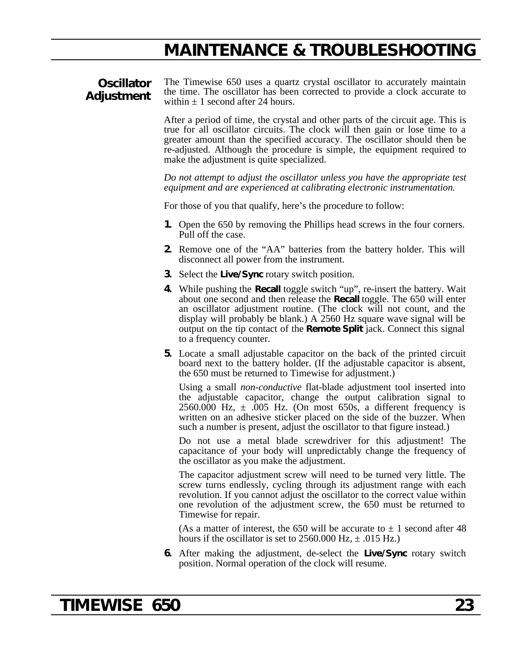### **MAINTENANCE & TROUBLESHOOTING**

### **Oscillator Adjustment**

The Timewise 650 uses a quartz crystal oscillator to accurately maintain the time. The oscillator has been corrected to provide a clock accurate to within  $\pm$  1 second after 24 hours.

After a period of time, the crystal and other parts of the circuit age. This is true for all oscillator circuits. The clock will then gain or lose time to a greater amount than the specified accuracy. The oscillator should then be re-adjusted. Although the procedure is simple, the equipment required to make the adjustment is quite specialized.

*Do not attempt to adjust the oscillator unless you have the appropriate test equipment and are experienced at calibrating electronic instrumentation.*

For those of you that qualify, here's the procedure to follow:

- **1.** Open the 650 by removing the Phillips head screws in the four corners. Pull off the case.
- **2.** Remove one of the "AA" batteries from the battery holder. This will disconnect all power from the instrument.
- **3.** Select the **Live/Sync** rotary switch position.
- **4.** While pushing the **Recall** toggle switch "up", re-insert the battery. Wait about one second and then release the **Recall** toggle. The 650 will enter an oscillator adjustment routine. (The clock will not count, and the display will probably be blank.) A 2560 Hz square wave signal will be output on the tip contact of the **Remote Split** jack. Connect this signal to a frequency counter.
- **5.** Locate a small adjustable capacitor on the back of the printed circuit board next to the battery holder. (If the adjustable capacitor is absent, the 650 must be returned to Timewise for adjustment.)

Using a small *non-conductive* flat-blade adjustment tool inserted into the adjustable capacitor, change the output calibration signal to 2560.000 Hz,  $\pm$  .005 Hz. (On most 650s, a different frequency is written on an adhesive sticker placed on the side of the buzzer. When such a number is present, adjust the oscillator to that figure instead.)

Do not use a metal blade screwdriver for this adjustment! The capacitance of your body will unpredictably change the frequency of the oscillator as you make the adjustment.

The capacitor adjustment screw will need to be turned very little. The screw turns endlessly, cycling through its adjustment range with each revolution. If you cannot adjust the oscillator to the correct value within one revolution of the adjustment screw, the 650 must be returned to Timewise for repair.

(As a matter of interest, the 650 will be accurate to  $\pm$  1 second after 48 hours if the oscillator is set to  $2560.000$  Hz,  $\pm .015$  Hz.)

**6.** After making the adjustment, de-select the **Live/Sync** rotary switch position. Normal operation of the clock will resume.